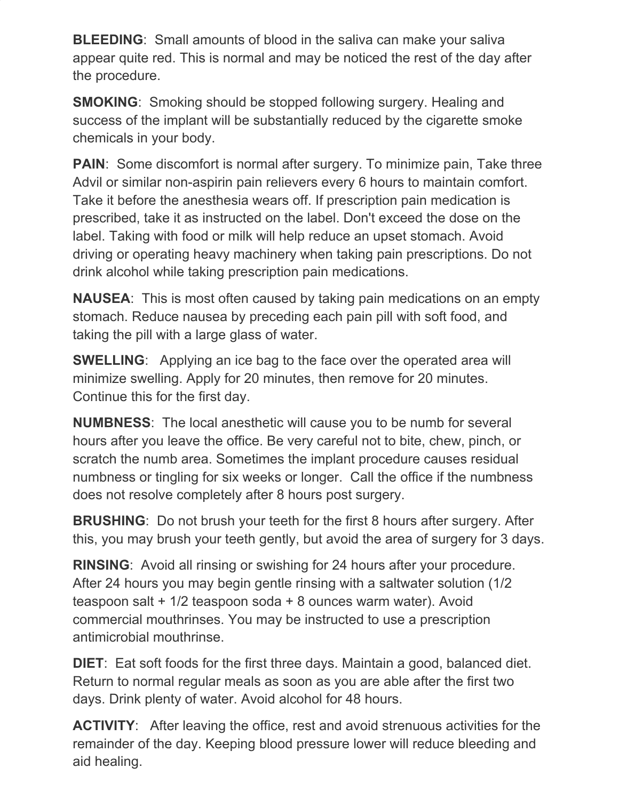**BLEEDING:** Small amounts of blood in the saliva can make your saliva appear quite red. This is normal and may be noticed the rest of the day after the procedure.

**SMOKING**: Smoking should be stopped following surgery. Healing and success of the implant will be substantially reduced by the cigarette smoke chemicals in your body.

**PAIN:** Some discomfort is normal after surgery. To minimize pain, Take three Advil or similar non-aspirin pain relievers every 6 hours to maintain comfort. Take it before the anesthesia wears off. If prescription pain medication is prescribed, take it as instructed on the label. Don't exceed the dose on the label. Taking with food or milk will help reduce an upset stomach. Avoid driving or operating heavy machinery when taking pain prescriptions. Do not drink alcohol while taking prescription pain medications.

**NAUSEA**: This is most often caused by taking pain medications on an empty stomach. Reduce nausea by preceding each pain pill with soft food, and taking the pill with a large glass of water.

**SWELLING**: Applying an ice bag to the face over the operated area will minimize swelling. Apply for 20 minutes, then remove for 20 minutes. Continue this for the first day.

**NUMBNESS**: The local anesthetic will cause you to be numb for several hours after you leave the office. Be very careful not to bite, chew, pinch, or scratch the numb area. Sometimes the implant procedure causes residual numbness or tingling for six weeks or longer. Call the office if the numbness does not resolve completely after 8 hours post surgery.

**BRUSHING**: Do not brush your teeth for the first 8 hours after surgery. After this, you may brush your teeth gently, but avoid the area of surgery for 3 days.

**RINSING**: Avoid all rinsing or swishing for 24 hours after your procedure. After 24 hours you may begin gentle rinsing with a saltwater solution (1/2 teaspoon salt + 1/2 teaspoon soda + 8 ounces warm water). Avoid commercial mouthrinses. You may be instructed to use a prescription antimicrobial mouthrinse.

**DIET**: Eat soft foods for the first three days. Maintain a good, balanced diet. Return to normal regular meals as soon as you are able after the first two days. Drink plenty of water. Avoid alcohol for 48 hours.

**ACTIVITY:** After leaving the office, rest and avoid strenuous activities for the remainder of the day. Keeping blood pressure lower will reduce bleeding and aid healing.